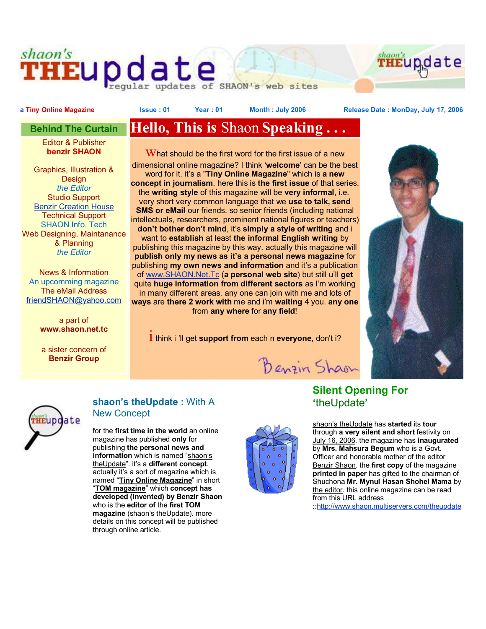# shaon's **THEUP date**



web sites

a Tiny Online Magazine **State State 1: Sear** : 01 Year: 01 Month: July 2006 Release Date: MonDay, July 17, 2006

Editor & Publisher **benzir SHAON**

Graphics, Illustration & Design *the Editor*  Studio Support Benzir Creation House Technical Support SHAON Info. Tech Web Designing, Maintanance & Planning *the Editor*

News & Information An upcomming magazine The eMail Address friendSHAON@yahoo.com

> a part of **www.shaon.net.tc**

a sister concern of **Benzir Group**

# **Behind The Curtain Hello, This is** Shaon **Speaking . . .**

 $W$ hat should be the first word for the first issue of a new dimensional online magazine? I think '**welcome**' can be the best word for it. it's a "**Tiny Online Magazine**" which is **a new concept in journalism**. here this is **the first issue** of that series. the **writing style** of this magazine will be **very informal**, i.e. very short very common language that we **use to talk, send SMS or eMail** our friends. so senior friends (including national intellectuals, researchers, prominent national figures or teachers) **don't bother don't mind**, it's **simply a style of writing** and i want to **establish** at least **the informal English writing** by publishing this magazine by this way. actually this magazine will **publish only my news as it's a personal news magazine** for publishing **my own news and information** and it's a publication of www.SHAON.Net.Tc (**a personal web site**) but still u'll **get** quite **huge information from different sectors** as I'm working in many different areas. any one can join with me and lots of **ways** are **there 2 work with** me and i'm **waiting** 4 you. **any one** from **any where** for **any field**!

i think <sup>i</sup> 'll get **support from** each <sup>n</sup>**everyone**, don't i?





### **shaon's theUpdate :** With A New Concept

for the **first time in the world** an online magazine has published **only** for publishing **the personal news and information** which is named "shaon's theUpdate". it's a **different concept**. actually it's a sort of magazine which is named "**Tiny Online Magazine**" in short "**TOM magazine**" which **concept has developed (invented) by Benzir Shaon** who is the **editor of** the **first TOM magazine** (shaon's theUpdate). more details on this concept will be published through online article.



Benzin Shaon

## **Silent Opening For '**theUpdate**'**

shaon's theUpdate has **started** its **tour** through **a very silent and short** festivity on July 16, 2006. the magazine has **inaugurated** by **Mrs. Mahsura Begum** who is a Govt. Officer and honorable mother of the editor Benzir Shaon. the **first copy** of the magazine **printed in paper** has gifted to the chairman of Shuchona **Mr. Mynul Hasan Shohel Mama** by the editor. this online magazine can be read from this URL address

::http://www.shaon.multiservers.com/theupdate